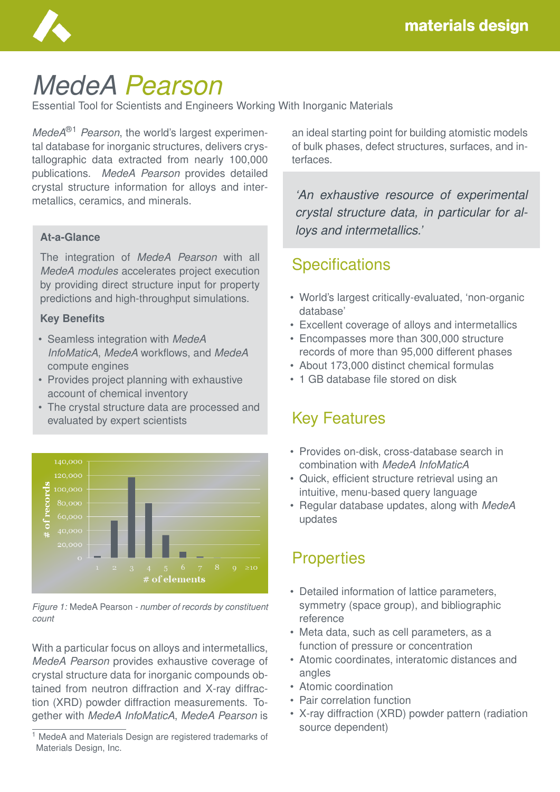

# *MedeA Pearson*

Essential Tool for Scientists and Engineers Working With Inorganic Materials

*MedeA*®1 *Pearson*, the world's largest experimental database for inorganic structures, delivers crystallographic data extracted from nearly 100,000 publications. *MedeA Pearson* provides detailed crystal structure information for alloys and intermetallics, ceramics, and minerals.

#### **At-a-Glance**

The integration of *MedeA Pearson* with all *MedeA modules* accelerates project execution by providing direct structure input for property predictions and high-throughput simulations.

#### **Key Benefits**

- Seamless integration with *MedeA InfoMaticA*, *MedeA* workflows, and *MedeA* compute engines
- Provides project planning with exhaustive account of chemical inventory
- The crystal structure data are processed and evaluated by expert scientists



*Figure 1:* MedeA Pearson *- number of records by constituent count*

With a particular focus on alloys and intermetallics, *MedeA Pearson* provides exhaustive coverage of crystal structure data for inorganic compounds obtained from neutron diffraction and X-ray diffraction (XRD) powder diffraction measurements. Together with *MedeA InfoMaticA*, *MedeA Pearson* is an ideal starting point for building atomistic models of bulk phases, defect structures, surfaces, and interfaces.

*'An exhaustive resource of experimental crystal structure data, in particular for alloys and intermetallics.'*

### **Specifications**

- World's largest critically-evaluated, 'non-organic database'
- Excellent coverage of alloys and intermetallics
- Encompasses more than 300,000 structure records of more than 95,000 different phases
- About 173,000 distinct chemical formulas
- 1 GB database file stored on disk

### Key Features

- Provides on-disk, cross-database search in combination with *MedeA InfoMaticA*
- Quick, efficient structure retrieval using an intuitive, menu-based query language
- Regular database updates, along with *MedeA* updates

### **Properties**

- Detailed information of lattice parameters, symmetry (space group), and bibliographic reference
- Meta data, such as cell parameters, as a function of pressure or concentration
- Atomic coordinates, interatomic distances and angles
- Atomic coordination
- Pair correlation function
- X-ray diffraction (XRD) powder pattern (radiation source dependent)

<sup>&</sup>lt;sup>1</sup> MedeA and Materials Design are registered trademarks of Materials Design, Inc.